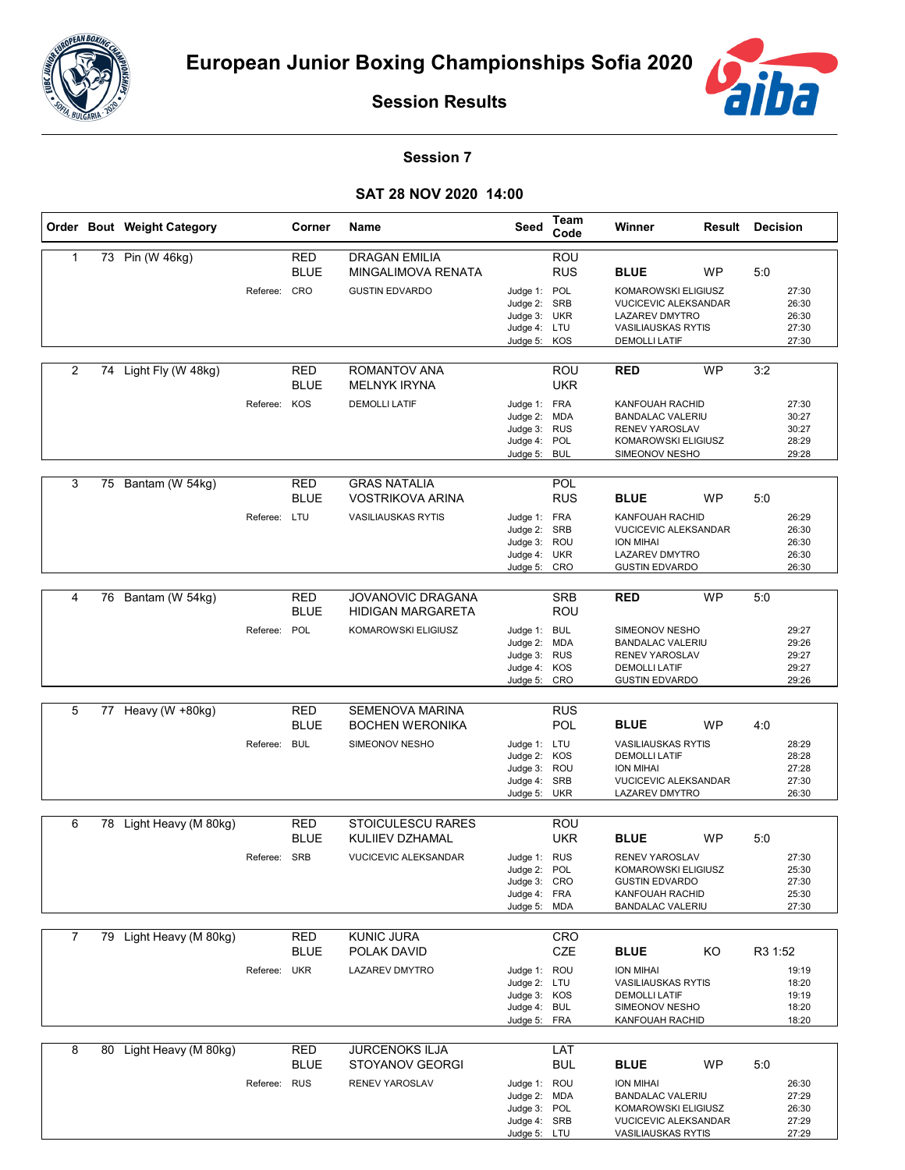



**Session Results**

## **Session 7**

## **SAT 28 NOV 2020 14:00**

|                |    | Order Bout Weight Category |              | Corner                    | Name                                                                | Seed                                                                         | Team<br>Code             | Winner                                                                                                                         | <b>Result Decision</b> |         |                                           |
|----------------|----|----------------------------|--------------|---------------------------|---------------------------------------------------------------------|------------------------------------------------------------------------------|--------------------------|--------------------------------------------------------------------------------------------------------------------------------|------------------------|---------|-------------------------------------------|
| 1              |    | 73 Pin (W 46kg)            | Referee: CRO | RED<br><b>BLUE</b>        | <b>DRAGAN EMILIA</b><br>MINGALIMOVA RENATA<br><b>GUSTIN EDVARDO</b> | Judge 1: POL<br>Judge 2: SRB<br>Judge 3: UKR                                 | ROU<br><b>RUS</b>        | <b>BLUE</b><br>KOMAROWSKI ELIGIUSZ<br><b>VUCICEVIC ALEKSANDAR</b><br><b>LAZAREV DMYTRO</b>                                     | <b>WP</b>              | 5:0     | 27:30<br>26:30<br>26:30                   |
|                |    |                            |              |                           |                                                                     | Judge 4: LTU<br>Judge 5: KOS                                                 |                          | <b>VASILIAUSKAS RYTIS</b><br><b>DEMOLLI LATIF</b>                                                                              |                        |         | 27:30<br>27:30                            |
| 2              |    | 74 Light Fly (W 48kg)      |              | <b>RED</b><br><b>BLUE</b> | ROMANTOV ANA<br><b>MELNYK IRYNA</b>                                 |                                                                              | <b>ROU</b><br><b>UKR</b> | <b>RED</b>                                                                                                                     | <b>WP</b>              | 3:2     |                                           |
|                |    |                            | Referee: KOS |                           | <b>DEMOLLI LATIF</b>                                                | Judge 1: FRA<br>Judge 2: MDA<br>Judge 3: RUS<br>Judge 4: POL<br>Judge 5:     | <b>BUL</b>               | KANFOUAH RACHID<br><b>BANDALAC VALERIU</b><br><b>RENEV YAROSLAV</b><br>KOMAROWSKI ELIGIUSZ<br>SIMEONOV NESHO                   |                        |         | 27:30<br>30:27<br>30:27<br>28:29<br>29:28 |
| 3              |    | 75 Bantam (W 54kg)         |              | RED<br><b>BLUE</b>        | <b>GRAS NATALIA</b><br><b>VOSTRIKOVA ARINA</b>                      |                                                                              | POL<br><b>RUS</b>        | <b>BLUE</b>                                                                                                                    | <b>WP</b>              | 5:0     |                                           |
|                |    |                            | Referee: LTU |                           | <b>VASILIAUSKAS RYTIS</b>                                           | Judge 1: FRA<br>Judge 2: SRB<br>Judge 3:<br>Judge 4: UKR<br>Judge 5: CRO     | <b>ROU</b>               | KANFOUAH RACHID<br><b>VUCICEVIC ALEKSANDAR</b><br><b>ION MIHAI</b><br><b>LAZAREV DMYTRO</b><br><b>GUSTIN EDVARDO</b>           |                        |         | 26:29<br>26:30<br>26:30<br>26:30<br>26:30 |
| 4              | 76 | Bantam (W 54kg)            |              | RED<br><b>BLUE</b>        | <b>JOVANOVIC DRAGANA</b><br><b>HIDIGAN MARGARETA</b>                |                                                                              | <b>SRB</b><br>ROU        | RED                                                                                                                            | <b>WP</b>              | 5:0     |                                           |
|                |    |                            | Referee: POL |                           | KOMAROWSKI ELIGIUSZ                                                 | Judge 1: BUL<br>Judge 2:<br>Judge 3: RUS<br>Judge 4: KOS<br>Judge 5: CRO     | <b>MDA</b>               | SIMEONOV NESHO<br><b>BANDALAC VALERIU</b><br><b>RENEV YAROSLAV</b><br><b>DEMOLLI LATIF</b><br><b>GUSTIN EDVARDO</b>            |                        |         | 29:27<br>29:26<br>29:27<br>29:27<br>29:26 |
|                |    |                            |              |                           |                                                                     |                                                                              |                          |                                                                                                                                |                        |         |                                           |
| 5              |    | 77 Heavy (W +80kg)         |              | <b>RED</b><br><b>BLUE</b> | <b>SEMENOVA MARINA</b><br><b>BOCHEN WERONIKA</b>                    |                                                                              | <b>RUS</b><br><b>POL</b> | <b>BLUE</b>                                                                                                                    | <b>WP</b>              | 4:0     |                                           |
|                |    |                            | Referee: BUL |                           | SIMEONOV NESHO                                                      | Judge 1: LTU<br>Judge 2: KOS<br>Judge 3: ROU<br>Judge 4:<br>Judge 5: UKR     | SRB                      | <b>VASILIAUSKAS RYTIS</b><br><b>DEMOLLI LATIF</b><br><b>ION MIHAI</b><br><b>VUCICEVIC ALEKSANDAR</b><br><b>LAZAREV DMYTRO</b>  |                        |         | 28:29<br>28:28<br>27:28<br>27:30<br>26:30 |
|                |    | Light Heavy (M 80kg)       |              | <b>RED</b>                | <b>STOICULESCU RARES</b>                                            |                                                                              |                          |                                                                                                                                |                        |         |                                           |
| 6              | 78 |                            |              | <b>BLUE</b>               | KULIIEV DZHAMAL                                                     |                                                                              | ROU<br><b>UKR</b>        | <b>BLUE</b>                                                                                                                    | WP                     | 5:0     |                                           |
|                |    |                            | Referee: SRB |                           | <b>VUCICEVIC ALEKSANDAR</b>                                         | Judge 1: RUS<br>Judge 2: POL<br>Judge 3: CRO<br>Judge 4: FRA<br>Judge 5: MDA |                          | RENEV YAROSLAV<br>KOMAROWSKI ELIGIUSZ<br><b>GUSTIN EDVARDO</b><br>KANFOUAH RACHID<br><b>BANDALAC VALERIU</b>                   |                        |         | 27:30<br>25:30<br>27:30<br>25:30<br>27:30 |
| $\overline{7}$ |    | 79 Light Heavy (M 80kg)    |              | <b>RED</b>                | <b>KUNIC JURA</b>                                                   |                                                                              | CRO                      |                                                                                                                                |                        |         |                                           |
|                |    |                            |              | <b>BLUE</b>               | POLAK DAVID                                                         |                                                                              | CZE                      | <b>BLUE</b>                                                                                                                    | KO                     | R3 1:52 |                                           |
|                |    |                            | Referee: UKR |                           | <b>LAZAREV DMYTRO</b>                                               | Judge 1: ROU<br>Judge 2: LTU<br>Judge 3: KOS<br>Judge 4: BUL<br>Judge 5: FRA |                          | ION MIHAI<br><b>VASILIAUSKAS RYTIS</b><br><b>DEMOLLI LATIF</b><br>SIMEONOV NESHO<br>KANFOUAH RACHID                            |                        |         | 19:19<br>18:20<br>19:19<br>18:20<br>18:20 |
| 8              |    | 80 Light Heavy (M 80kg)    |              | <b>RED</b>                | <b>JURCENOKS ILJA</b>                                               |                                                                              | LAT                      |                                                                                                                                |                        |         |                                           |
|                |    |                            |              | <b>BLUE</b>               | <b>STOYANOV GEORGI</b>                                              |                                                                              | <b>BUL</b>               | <b>BLUE</b>                                                                                                                    | WP                     | 5:0     |                                           |
|                |    |                            | Referee: RUS |                           | RENEV YAROSLAV                                                      | Judge 1: ROU<br>Judge 2: MDA<br>Judge 3: POL<br>Judge 4: SRB<br>Judge 5: LTU |                          | <b>ION MIHAI</b><br><b>BANDALAC VALERIU</b><br>KOMAROWSKI ELIGIUSZ<br><b>VUCICEVIC ALEKSANDAR</b><br><b>VASILIAUSKAS RYTIS</b> |                        |         | 26:30<br>27:29<br>26:30<br>27:29<br>27:29 |